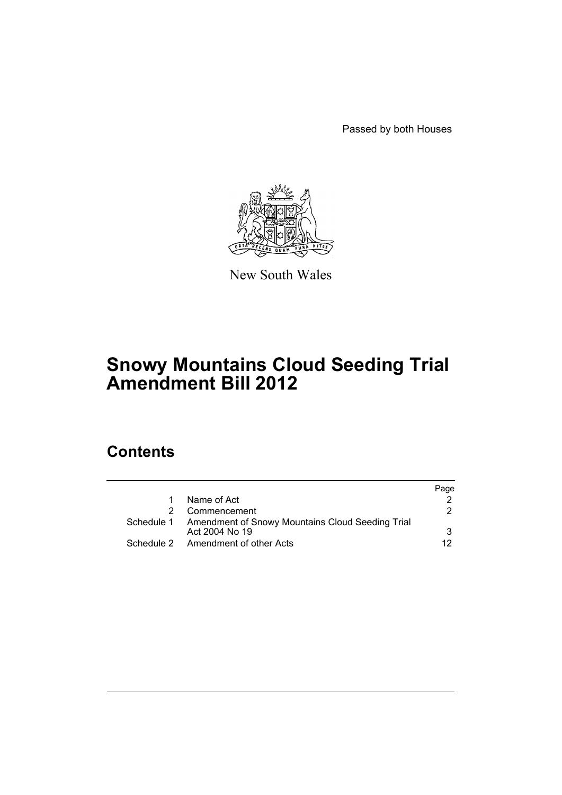Passed by both Houses



New South Wales

# **Snowy Mountains Cloud Seeding Trial Amendment Bill 2012**

# **Contents**

|                                                                               | Page |
|-------------------------------------------------------------------------------|------|
| Name of Act                                                                   |      |
| Commencement                                                                  | 2    |
| Schedule 1 Amendment of Snowy Mountains Cloud Seeding Trial<br>Act 2004 No 19 | 3    |
| Schedule 2 Amendment of other Acts                                            | 12.  |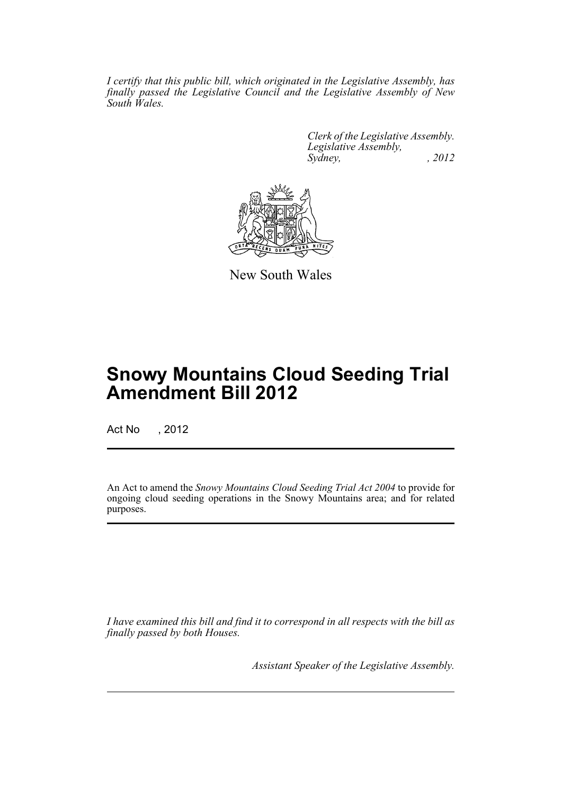*I certify that this public bill, which originated in the Legislative Assembly, has finally passed the Legislative Council and the Legislative Assembly of New South Wales.*

> *Clerk of the Legislative Assembly. Legislative Assembly, Sydney, , 2012*



New South Wales

# **Snowy Mountains Cloud Seeding Trial Amendment Bill 2012**

Act No , 2012

An Act to amend the *Snowy Mountains Cloud Seeding Trial Act 2004* to provide for ongoing cloud seeding operations in the Snowy Mountains area; and for related purposes.

*I have examined this bill and find it to correspond in all respects with the bill as finally passed by both Houses.*

*Assistant Speaker of the Legislative Assembly.*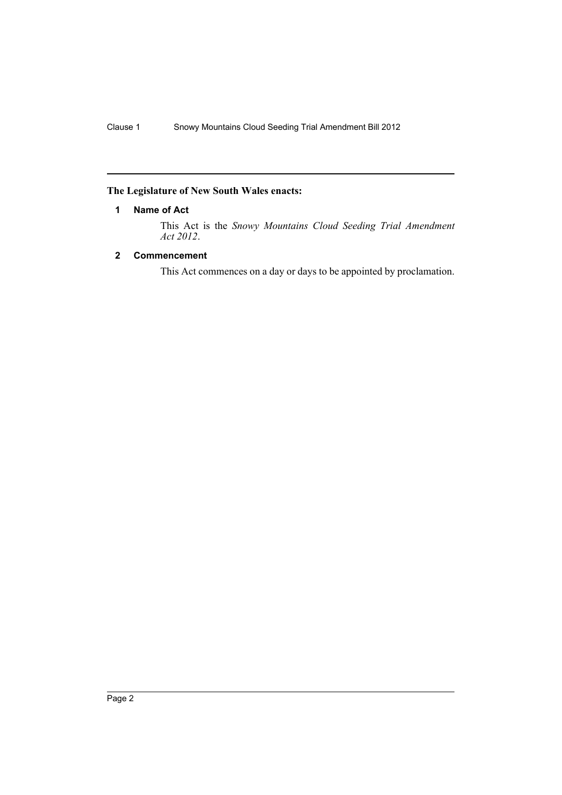# <span id="page-3-0"></span>**The Legislature of New South Wales enacts:**

# **1 Name of Act**

This Act is the *Snowy Mountains Cloud Seeding Trial Amendment Act 2012*.

# <span id="page-3-1"></span>**2 Commencement**

This Act commences on a day or days to be appointed by proclamation.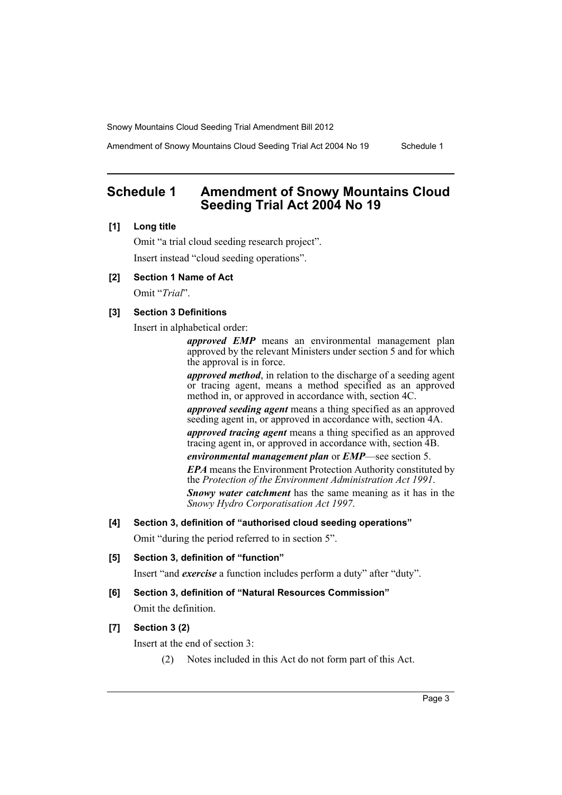Amendment of Snowy Mountains Cloud Seeding Trial Act 2004 No 19 Schedule 1

# <span id="page-4-0"></span>**Schedule 1 Amendment of Snowy Mountains Cloud Seeding Trial Act 2004 No 19**

#### **[1] Long title**

Omit "a trial cloud seeding research project". Insert instead "cloud seeding operations".

## **[2] Section 1 Name of Act**

Omit "*Trial*".

## **[3] Section 3 Definitions**

Insert in alphabetical order:

*approved EMP* means an environmental management plan approved by the relevant Ministers under section 5 and for which the approval is in force.

*approved method*, in relation to the discharge of a seeding agent or tracing agent, means a method specified as an approved method in, or approved in accordance with, section 4C.

*approved seeding agent* means a thing specified as an approved seeding agent in, or approved in accordance with, section 4A.

*approved tracing agent* means a thing specified as an approved tracing agent in, or approved in accordance with, section 4B.

*environmental management plan* or *EMP*—see section 5.

*EPA* means the Environment Protection Authority constituted by the *Protection of the Environment Administration Act 1991*.

*Snowy water catchment* has the same meaning as it has in the *Snowy Hydro Corporatisation Act 1997*.

## **[4] Section 3, definition of "authorised cloud seeding operations"**

Omit "during the period referred to in section 5".

## **[5] Section 3, definition of "function"**

Insert "and *exercise* a function includes perform a duty" after "duty".

## **[6] Section 3, definition of "Natural Resources Commission"**

Omit the definition.

# **[7] Section 3 (2)**

Insert at the end of section 3:

(2) Notes included in this Act do not form part of this Act.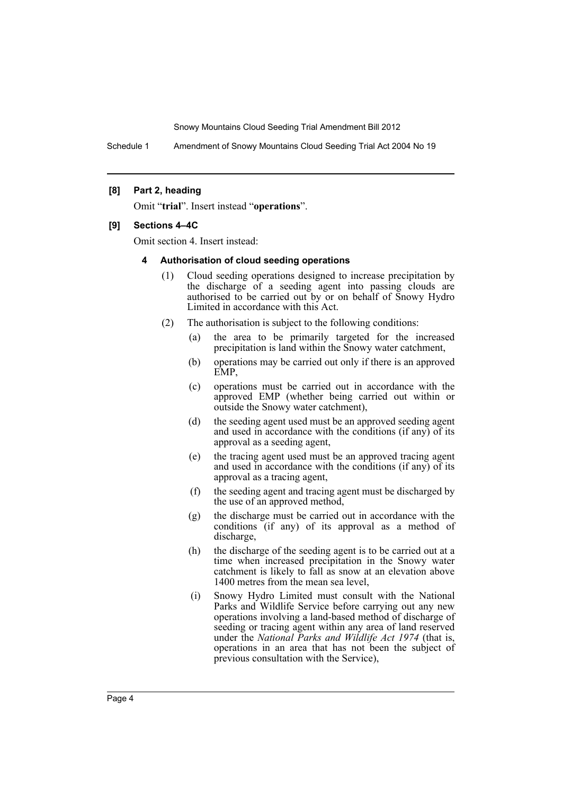Schedule 1 Amendment of Snowy Mountains Cloud Seeding Trial Act 2004 No 19

#### **[8] Part 2, heading**

Omit "**trial**". Insert instead "**operations**".

#### **[9] Sections 4–4C**

Omit section 4. Insert instead:

#### **4 Authorisation of cloud seeding operations**

- (1) Cloud seeding operations designed to increase precipitation by the discharge of a seeding agent into passing clouds are authorised to be carried out by or on behalf of Snowy Hydro Limited in accordance with this Act.
- (2) The authorisation is subject to the following conditions:
	- (a) the area to be primarily targeted for the increased precipitation is land within the Snowy water catchment,
	- (b) operations may be carried out only if there is an approved EMP,
	- (c) operations must be carried out in accordance with the approved EMP (whether being carried out within or outside the Snowy water catchment),
	- (d) the seeding agent used must be an approved seeding agent and used in accordance with the conditions (if any) of its approval as a seeding agent,
	- (e) the tracing agent used must be an approved tracing agent and used in accordance with the conditions (if any) of its approval as a tracing agent,
	- (f) the seeding agent and tracing agent must be discharged by the use of an approved method,
	- (g) the discharge must be carried out in accordance with the conditions (if any) of its approval as a method of discharge,
	- (h) the discharge of the seeding agent is to be carried out at a time when increased precipitation in the Snowy water catchment is likely to fall as snow at an elevation above 1400 metres from the mean sea level,
	- (i) Snowy Hydro Limited must consult with the National Parks and Wildlife Service before carrying out any new operations involving a land-based method of discharge of seeding or tracing agent within any area of land reserved under the *National Parks and Wildlife Act 1974* (that is, operations in an area that has not been the subject of previous consultation with the Service),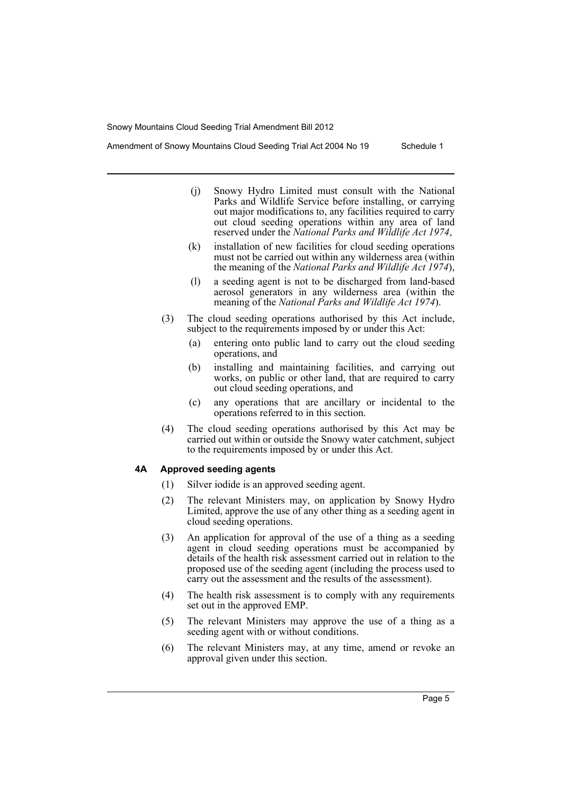Amendment of Snowy Mountains Cloud Seeding Trial Act 2004 No 19 Schedule 1

- (j) Snowy Hydro Limited must consult with the National Parks and Wildlife Service before installing, or carrying out major modifications to, any facilities required to carry out cloud seeding operations within any area of land reserved under the *National Parks and Wildlife Act 1974*,
- (k) installation of new facilities for cloud seeding operations must not be carried out within any wilderness area (within the meaning of the *National Parks and Wildlife Act 1974*),
- (l) a seeding agent is not to be discharged from land-based aerosol generators in any wilderness area (within the meaning of the *National Parks and Wildlife Act 1974*).
- (3) The cloud seeding operations authorised by this Act include, subject to the requirements imposed by or under this Act:
	- (a) entering onto public land to carry out the cloud seeding operations, and
	- (b) installing and maintaining facilities, and carrying out works, on public or other land, that are required to carry out cloud seeding operations, and
	- (c) any operations that are ancillary or incidental to the operations referred to in this section.
- (4) The cloud seeding operations authorised by this Act may be carried out within or outside the Snowy water catchment, subject to the requirements imposed by or under this Act.

#### **4A Approved seeding agents**

- (1) Silver iodide is an approved seeding agent.
- (2) The relevant Ministers may, on application by Snowy Hydro Limited, approve the use of any other thing as a seeding agent in cloud seeding operations.
- (3) An application for approval of the use of a thing as a seeding agent in cloud seeding operations must be accompanied by details of the health risk assessment carried out in relation to the proposed use of the seeding agent (including the process used to carry out the assessment and the results of the assessment).
- (4) The health risk assessment is to comply with any requirements set out in the approved EMP.
- (5) The relevant Ministers may approve the use of a thing as a seeding agent with or without conditions.
- (6) The relevant Ministers may, at any time, amend or revoke an approval given under this section.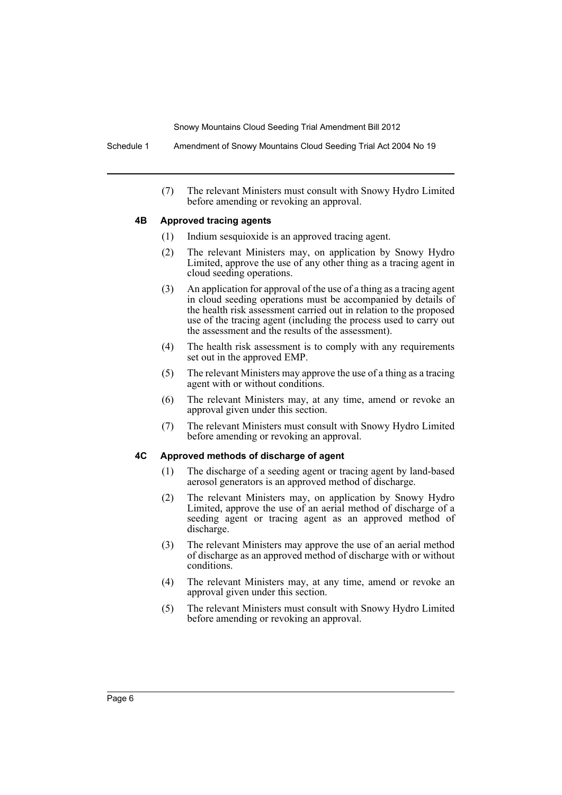Schedule 1 Amendment of Snowy Mountains Cloud Seeding Trial Act 2004 No 19

(7) The relevant Ministers must consult with Snowy Hydro Limited before amending or revoking an approval.

#### **4B Approved tracing agents**

- (1) Indium sesquioxide is an approved tracing agent.
- (2) The relevant Ministers may, on application by Snowy Hydro Limited, approve the use of any other thing as a tracing agent in cloud seeding operations.
- (3) An application for approval of the use of a thing as a tracing agent in cloud seeding operations must be accompanied by details of the health risk assessment carried out in relation to the proposed use of the tracing agent (including the process used to carry out the assessment and the results of the assessment).
- (4) The health risk assessment is to comply with any requirements set out in the approved EMP.
- (5) The relevant Ministers may approve the use of a thing as a tracing agent with or without conditions.
- (6) The relevant Ministers may, at any time, amend or revoke an approval given under this section.
- (7) The relevant Ministers must consult with Snowy Hydro Limited before amending or revoking an approval.

#### **4C Approved methods of discharge of agent**

- (1) The discharge of a seeding agent or tracing agent by land-based aerosol generators is an approved method of discharge.
- (2) The relevant Ministers may, on application by Snowy Hydro Limited, approve the use of an aerial method of discharge of a seeding agent or tracing agent as an approved method of discharge.
- (3) The relevant Ministers may approve the use of an aerial method of discharge as an approved method of discharge with or without conditions.
- (4) The relevant Ministers may, at any time, amend or revoke an approval given under this section.
- (5) The relevant Ministers must consult with Snowy Hydro Limited before amending or revoking an approval.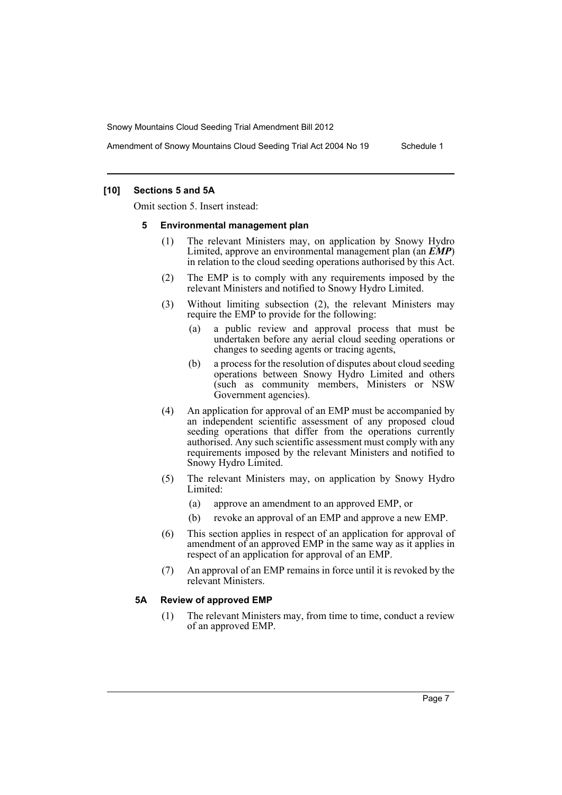Amendment of Snowy Mountains Cloud Seeding Trial Act 2004 No 19 Schedule 1

#### **[10] Sections 5 and 5A**

Omit section 5. Insert instead:

#### **5 Environmental management plan**

- (1) The relevant Ministers may, on application by Snowy Hydro Limited, approve an environmental management plan (an *EMP*) in relation to the cloud seeding operations authorised by this Act.
- (2) The EMP is to comply with any requirements imposed by the relevant Ministers and notified to Snowy Hydro Limited.
- (3) Without limiting subsection (2), the relevant Ministers may require the EMP to provide for the following:
	- (a) a public review and approval process that must be undertaken before any aerial cloud seeding operations or changes to seeding agents or tracing agents,
	- (b) a process for the resolution of disputes about cloud seeding operations between Snowy Hydro Limited and others (such as community members, Ministers or NSW Government agencies).
- (4) An application for approval of an EMP must be accompanied by an independent scientific assessment of any proposed cloud seeding operations that differ from the operations currently authorised. Any such scientific assessment must comply with any requirements imposed by the relevant Ministers and notified to Snowy Hydro Limited.
- (5) The relevant Ministers may, on application by Snowy Hydro Limited:
	- (a) approve an amendment to an approved EMP, or
	- (b) revoke an approval of an EMP and approve a new EMP.
- (6) This section applies in respect of an application for approval of amendment of an approved EMP in the same way as it applies in respect of an application for approval of an EMP.
- (7) An approval of an EMP remains in force until it is revoked by the relevant Ministers.

#### **5A Review of approved EMP**

(1) The relevant Ministers may, from time to time, conduct a review of an approved EMP.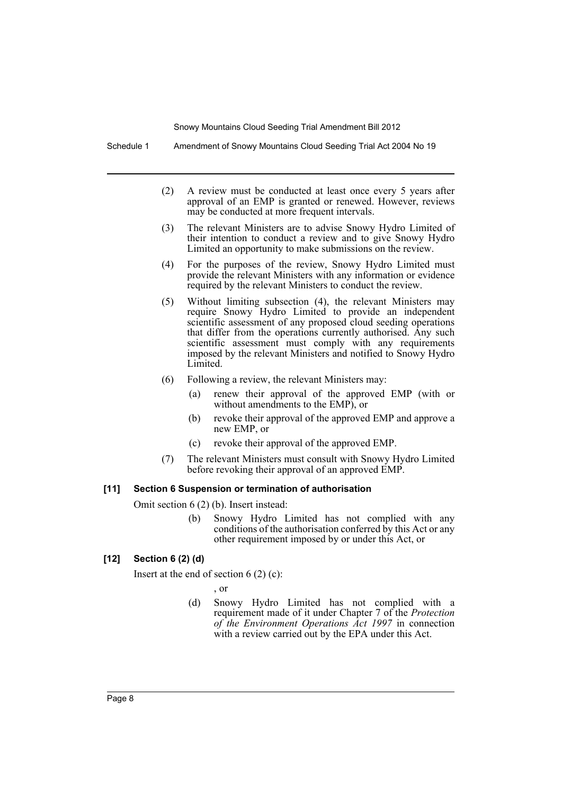Schedule 1 Amendment of Snowy Mountains Cloud Seeding Trial Act 2004 No 19

- (2) A review must be conducted at least once every 5 years after approval of an EMP is granted or renewed. However, reviews may be conducted at more frequent intervals.
- (3) The relevant Ministers are to advise Snowy Hydro Limited of their intention to conduct a review and to give Snowy Hydro Limited an opportunity to make submissions on the review.
- (4) For the purposes of the review, Snowy Hydro Limited must provide the relevant Ministers with any information or evidence required by the relevant Ministers to conduct the review.
- (5) Without limiting subsection (4), the relevant Ministers may require Snowy Hydro Limited to provide an independent scientific assessment of any proposed cloud seeding operations that differ from the operations currently authorised. Any such scientific assessment must comply with any requirements imposed by the relevant Ministers and notified to Snowy Hydro Limited.
- (6) Following a review, the relevant Ministers may:
	- (a) renew their approval of the approved EMP (with or without amendments to the EMP), or
	- (b) revoke their approval of the approved EMP and approve a new EMP, or
	- (c) revoke their approval of the approved EMP.
- (7) The relevant Ministers must consult with Snowy Hydro Limited before revoking their approval of an approved EMP.

#### **[11] Section 6 Suspension or termination of authorisation**

Omit section 6 (2) (b). Insert instead:

(b) Snowy Hydro Limited has not complied with any conditions of the authorisation conferred by this Act or any other requirement imposed by or under this Act, or

## **[12] Section 6 (2) (d)**

Insert at the end of section  $6(2)(c)$ :

, or

(d) Snowy Hydro Limited has not complied with a requirement made of it under Chapter 7 of the *Protection of the Environment Operations Act 1997* in connection with a review carried out by the EPA under this Act.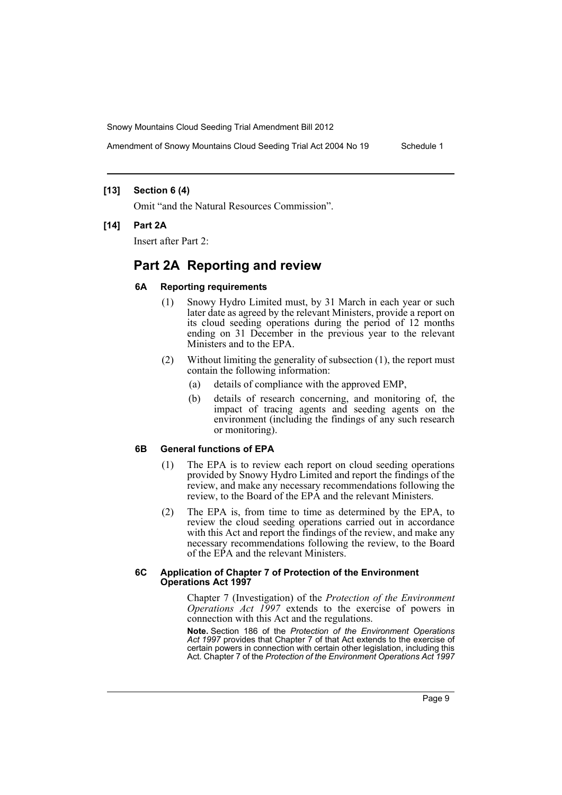Amendment of Snowy Mountains Cloud Seeding Trial Act 2004 No 19 Schedule 1

#### **[13] Section 6 (4)**

Omit "and the Natural Resources Commission".

#### **[14] Part 2A**

Insert after Part 2:

# **Part 2A Reporting and review**

#### **6A Reporting requirements**

- (1) Snowy Hydro Limited must, by 31 March in each year or such later date as agreed by the relevant Ministers, provide a report on its cloud seeding operations during the period of 12 months ending on 31 December in the previous year to the relevant Ministers and to the EPA.
- (2) Without limiting the generality of subsection (1), the report must contain the following information:
	- (a) details of compliance with the approved EMP,
	- (b) details of research concerning, and monitoring of, the impact of tracing agents and seeding agents on the environment (including the findings of any such research or monitoring).

## **6B General functions of EPA**

- (1) The EPA is to review each report on cloud seeding operations provided by Snowy Hydro Limited and report the findings of the review, and make any necessary recommendations following the review, to the Board of the EPA and the relevant Ministers.
- (2) The EPA is, from time to time as determined by the EPA, to review the cloud seeding operations carried out in accordance with this Act and report the findings of the review, and make any necessary recommendations following the review, to the Board of the EPA and the relevant Ministers.

#### **6C Application of Chapter 7 of Protection of the Environment Operations Act 1997**

Chapter 7 (Investigation) of the *Protection of the Environment Operations Act 1997* extends to the exercise of powers in connection with this Act and the regulations.

**Note.** Section 186 of the *Protection of the Environment Operations Act 1997* provides that Chapter 7 of that Act extends to the exercise of certain powers in connection with certain other legislation, including this Act. Chapter 7 of the *Protection of the Environment Operations Act 1997*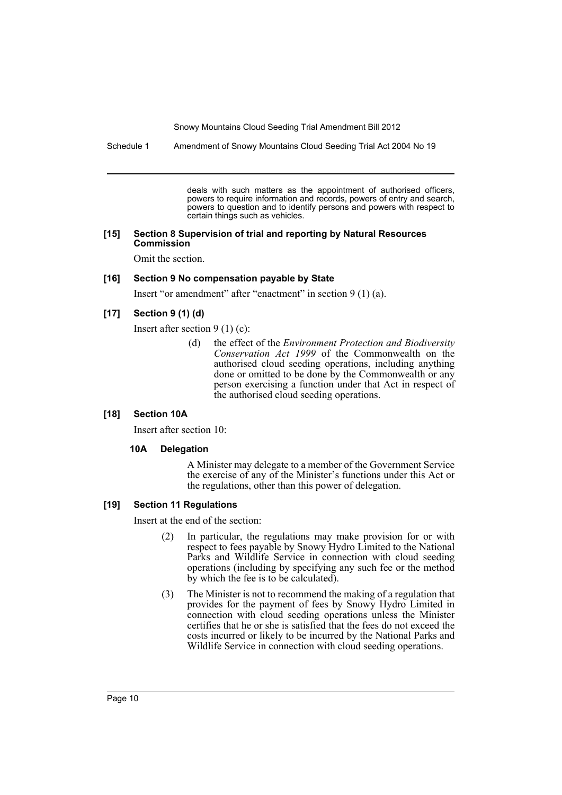Schedule 1 Amendment of Snowy Mountains Cloud Seeding Trial Act 2004 No 19

deals with such matters as the appointment of authorised officers, powers to require information and records, powers of entry and search, powers to question and to identify persons and powers with respect to certain things such as vehicles.

#### **[15] Section 8 Supervision of trial and reporting by Natural Resources Commission**

Omit the section.

#### **[16] Section 9 No compensation payable by State**

Insert "or amendment" after "enactment" in section 9 (1) (a).

#### **[17] Section 9 (1) (d)**

Insert after section 9 (1) (c):

(d) the effect of the *Environment Protection and Biodiversity Conservation Act 1999* of the Commonwealth on the authorised cloud seeding operations, including anything done or omitted to be done by the Commonwealth or any person exercising a function under that Act in respect of the authorised cloud seeding operations.

## **[18] Section 10A**

Insert after section 10:

#### **10A Delegation**

A Minister may delegate to a member of the Government Service the exercise of any of the Minister's functions under this Act or the regulations, other than this power of delegation.

#### **[19] Section 11 Regulations**

Insert at the end of the section:

- (2) In particular, the regulations may make provision for or with respect to fees payable by Snowy Hydro Limited to the National Parks and Wildlife Service in connection with cloud seeding operations (including by specifying any such fee or the method by which the fee is to be calculated).
- (3) The Minister is not to recommend the making of a regulation that provides for the payment of fees by Snowy Hydro Limited in connection with cloud seeding operations unless the Minister certifies that he or she is satisfied that the fees do not exceed the costs incurred or likely to be incurred by the National Parks and Wildlife Service in connection with cloud seeding operations.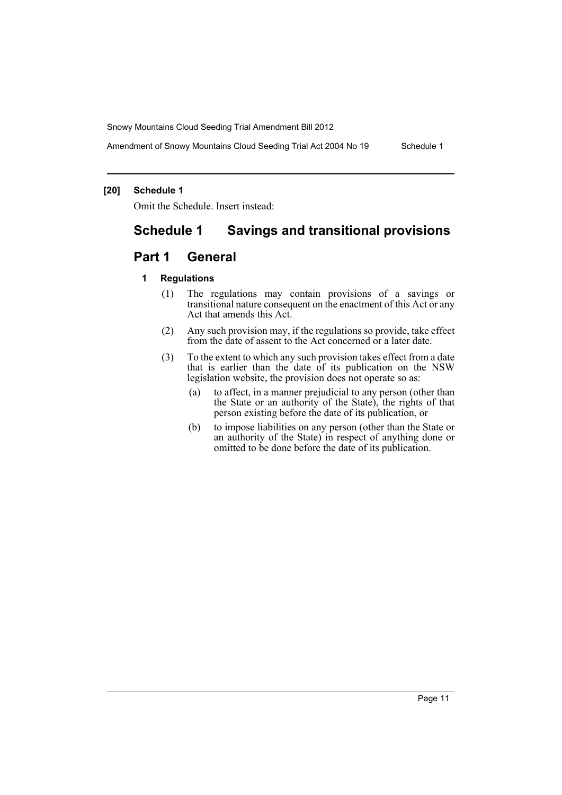Amendment of Snowy Mountains Cloud Seeding Trial Act 2004 No 19 Schedule 1

#### **[20] Schedule 1**

Omit the Schedule. Insert instead:

# **Schedule 1 Savings and transitional provisions**

# **Part 1 General**

#### **1 Regulations**

- (1) The regulations may contain provisions of a savings or transitional nature consequent on the enactment of this Act or any Act that amends this Act.
- (2) Any such provision may, if the regulations so provide, take effect from the date of assent to the Act concerned or a later date.
- (3) To the extent to which any such provision takes effect from a date that is earlier than the date of its publication on the NSW legislation website, the provision does not operate so as:
	- (a) to affect, in a manner prejudicial to any person (other than the State or an authority of the State), the rights of that person existing before the date of its publication, or
	- (b) to impose liabilities on any person (other than the State or an authority of the State) in respect of anything done or omitted to be done before the date of its publication.